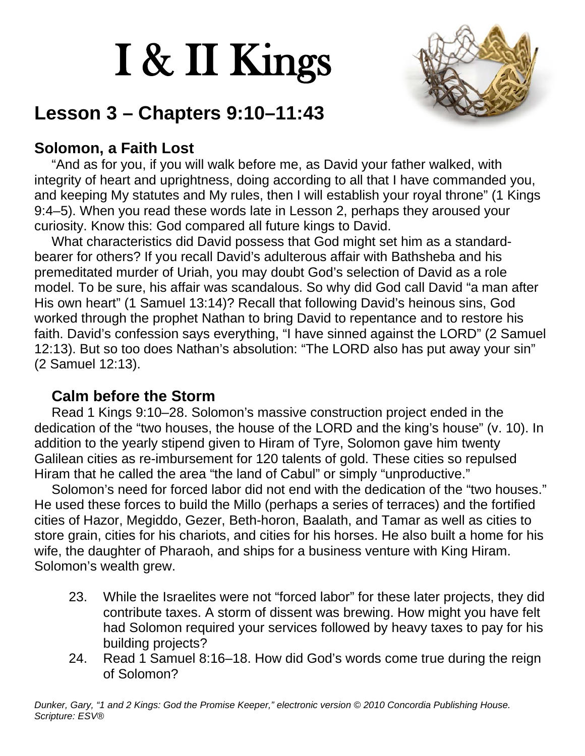# I & II Kings



## **Lesson 3 – Chapters 9:10–11:43**

#### **Solomon, a Faith Lost**

"And as for you, if you will walk before me, as David your father walked, with integrity of heart and uprightness, doing according to all that I have commanded you, and keeping My statutes and My rules, then I will establish your royal throne" (1 Kings 9:4–5). When you read these words late in Lesson 2, perhaps they aroused your curiosity. Know this: God compared all future kings to David.

What characteristics did David possess that God might set him as a standardbearer for others? If you recall David's adulterous affair with Bathsheba and his premeditated murder of Uriah, you may doubt God's selection of David as a role model. To be sure, his affair was scandalous. So why did God call David "a man after His own heart" (1 Samuel 13:14)? Recall that following David's heinous sins, God worked through the prophet Nathan to bring David to repentance and to restore his faith. David's confession says everything, "I have sinned against the LORD" (2 Samuel 12:13). But so too does Nathan's absolution: "The LORD also has put away your sin" (2 Samuel 12:13).

#### **Calm before the Storm**

Read 1 Kings 9:10–28. Solomon's massive construction project ended in the dedication of the "two houses, the house of the LORD and the king's house" (v. 10). In addition to the yearly stipend given to Hiram of Tyre, Solomon gave him twenty Galilean cities as re-imbursement for 120 talents of gold. These cities so repulsed Hiram that he called the area "the land of Cabul" or simply "unproductive."

Solomon's need for forced labor did not end with the dedication of the "two houses." He used these forces to build the Millo (perhaps a series of terraces) and the fortified cities of Hazor, Megiddo, Gezer, Beth-horon, Baalath, and Tamar as well as cities to store grain, cities for his chariots, and cities for his horses. He also built a home for his wife, the daughter of Pharaoh, and ships for a business venture with King Hiram. Solomon's wealth grew.

- 23. While the Israelites were not "forced labor" for these later projects, they did contribute taxes. A storm of dissent was brewing. How might you have felt had Solomon required your services followed by heavy taxes to pay for his building projects?
- 24. Read 1 Samuel 8:16–18. How did God's words come true during the reign of Solomon?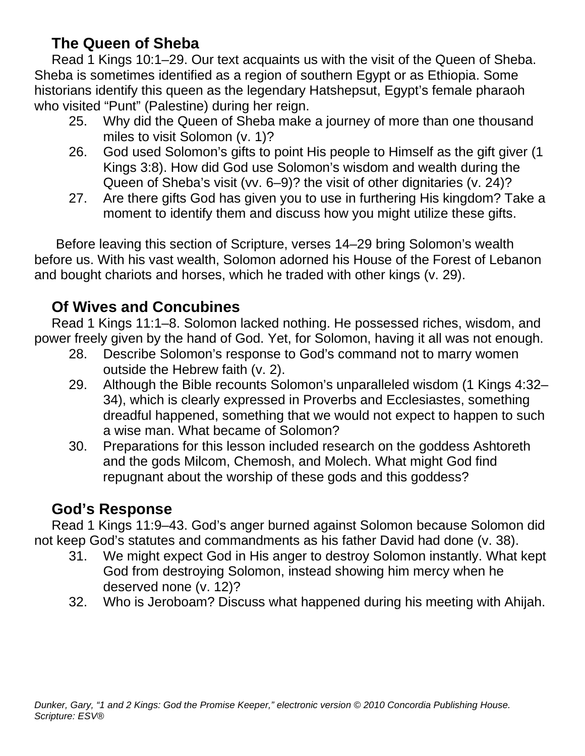#### **The Queen of Sheba**

Read 1 Kings 10:1–29. Our text acquaints us with the visit of the Queen of Sheba. Sheba is sometimes identified as a region of southern Egypt or as Ethiopia. Some historians identify this queen as the legendary Hatshepsut, Egypt's female pharaoh who visited "Punt" (Palestine) during her reign.

- 25. Why did the Queen of Sheba make a journey of more than one thousand miles to visit Solomon (v. 1)?
- 26. God used Solomon's gifts to point His people to Himself as the gift giver (1 Kings 3:8). How did God use Solomon's wisdom and wealth during the Queen of Sheba's visit (vv. 6–9)? the visit of other dignitaries (v. 24)?
- 27. Are there gifts God has given you to use in furthering His kingdom? Take a moment to identify them and discuss how you might utilize these gifts.

Before leaving this section of Scripture, verses 14–29 bring Solomon's wealth before us. With his vast wealth, Solomon adorned his House of the Forest of Lebanon and bought chariots and horses, which he traded with other kings (v. 29).

#### **Of Wives and Concubines**

Read 1 Kings 11:1–8. Solomon lacked nothing. He possessed riches, wisdom, and power freely given by the hand of God. Yet, for Solomon, having it all was not enough.

- 28. Describe Solomon's response to God's command not to marry women outside the Hebrew faith (v. 2).
- 29. Although the Bible recounts Solomon's unparalleled wisdom (1 Kings 4:32– 34), which is clearly expressed in Proverbs and Ecclesiastes, something dreadful happened, something that we would not expect to happen to such a wise man. What became of Solomon?
- 30. Preparations for this lesson included research on the goddess Ashtoreth and the gods Milcom, Chemosh, and Molech. What might God find repugnant about the worship of these gods and this goddess?

#### **God's Response**

Read 1 Kings 11:9–43. God's anger burned against Solomon because Solomon did not keep God's statutes and commandments as his father David had done (v. 38).

- 31. We might expect God in His anger to destroy Solomon instantly. What kept God from destroying Solomon, instead showing him mercy when he deserved none (v. 12)?
- 32. Who is Jeroboam? Discuss what happened during his meeting with Ahijah.